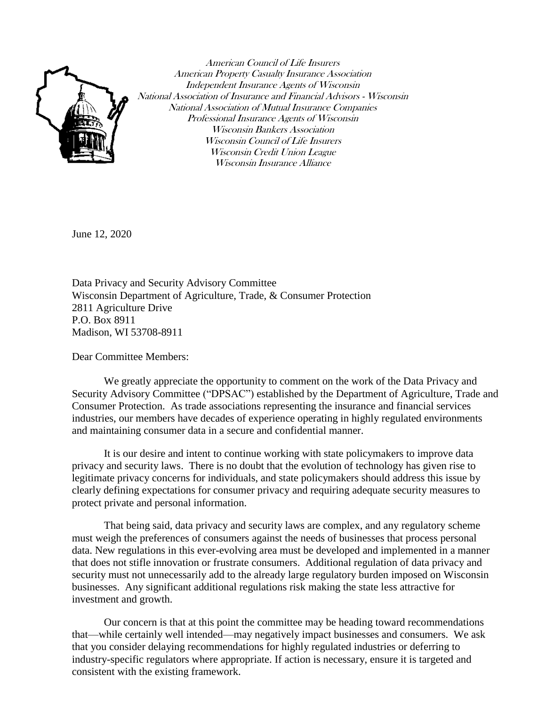

American Council of Life Insurers American Property Casualty Insurance Association Independent Insurance Agents of Wisconsin National Association of Insurance and Financial Advisors - Wisconsin National Association of Mutual Insurance Companies Professional Insurance Agents of Wisconsin Wisconsin Bankers Association Wisconsin Council of Life Insurers Wisconsin Credit Union League Wisconsin Insurance Alliance

June 12, 2020

Data Privacy and Security Advisory Committee Wisconsin Department of Agriculture, Trade, & Consumer Protection 2811 Agriculture Drive P.O. Box 8911 Madison, WI 53708-8911

Dear Committee Members:

We greatly appreciate the opportunity to comment on the work of the Data Privacy and Security Advisory Committee ("DPSAC") established by the Department of Agriculture, Trade and Consumer Protection. As trade associations representing the insurance and financial services industries, our members have decades of experience operating in highly regulated environments and maintaining consumer data in a secure and confidential manner.

It is our desire and intent to continue working with state policymakers to improve data privacy and security laws. There is no doubt that the evolution of technology has given rise to legitimate privacy concerns for individuals, and state policymakers should address this issue by clearly defining expectations for consumer privacy and requiring adequate security measures to protect private and personal information.

That being said, data privacy and security laws are complex, and any regulatory scheme must weigh the preferences of consumers against the needs of businesses that process personal data. New regulations in this ever-evolving area must be developed and implemented in a manner that does not stifle innovation or frustrate consumers. Additional regulation of data privacy and security must not unnecessarily add to the already large regulatory burden imposed on Wisconsin businesses. Any significant additional regulations risk making the state less attractive for investment and growth.

Our concern is that at this point the committee may be heading toward recommendations that—while certainly well intended—may negatively impact businesses and consumers. We ask that you consider delaying recommendations for highly regulated industries or deferring to industry-specific regulators where appropriate. If action is necessary, ensure it is targeted and consistent with the existing framework.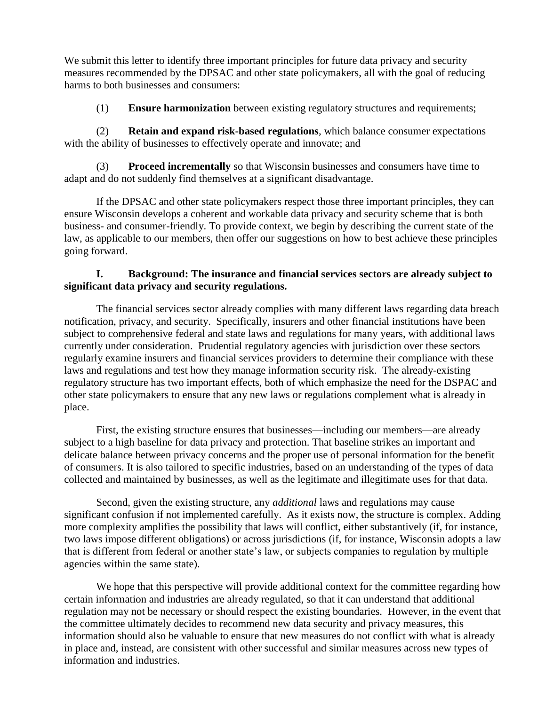We submit this letter to identify three important principles for future data privacy and security measures recommended by the DPSAC and other state policymakers, all with the goal of reducing harms to both businesses and consumers:

(1) **Ensure harmonization** between existing regulatory structures and requirements;

(2) **Retain and expand risk-based regulations**, which balance consumer expectations with the ability of businesses to effectively operate and innovate; and

(3) **Proceed incrementally** so that Wisconsin businesses and consumers have time to adapt and do not suddenly find themselves at a significant disadvantage.

If the DPSAC and other state policymakers respect those three important principles, they can ensure Wisconsin develops a coherent and workable data privacy and security scheme that is both business- and consumer-friendly. To provide context, we begin by describing the current state of the law, as applicable to our members, then offer our suggestions on how to best achieve these principles going forward.

# **I. Background: The insurance and financial services sectors are already subject to significant data privacy and security regulations.**

The financial services sector already complies with many different laws regarding data breach notification, privacy, and security. Specifically, insurers and other financial institutions have been subject to comprehensive federal and state laws and regulations for many years, with additional laws currently under consideration. Prudential regulatory agencies with jurisdiction over these sectors regularly examine insurers and financial services providers to determine their compliance with these laws and regulations and test how they manage information security risk. The already-existing regulatory structure has two important effects, both of which emphasize the need for the DSPAC and other state policymakers to ensure that any new laws or regulations complement what is already in place.

First, the existing structure ensures that businesses—including our members—are already subject to a high baseline for data privacy and protection. That baseline strikes an important and delicate balance between privacy concerns and the proper use of personal information for the benefit of consumers. It is also tailored to specific industries, based on an understanding of the types of data collected and maintained by businesses, as well as the legitimate and illegitimate uses for that data.

Second, given the existing structure, any *additional* laws and regulations may cause significant confusion if not implemented carefully. As it exists now, the structure is complex. Adding more complexity amplifies the possibility that laws will conflict, either substantively (if, for instance, two laws impose different obligations) or across jurisdictions (if, for instance, Wisconsin adopts a law that is different from federal or another state's law, or subjects companies to regulation by multiple agencies within the same state).

We hope that this perspective will provide additional context for the committee regarding how certain information and industries are already regulated, so that it can understand that additional regulation may not be necessary or should respect the existing boundaries. However, in the event that the committee ultimately decides to recommend new data security and privacy measures, this information should also be valuable to ensure that new measures do not conflict with what is already in place and, instead, are consistent with other successful and similar measures across new types of information and industries.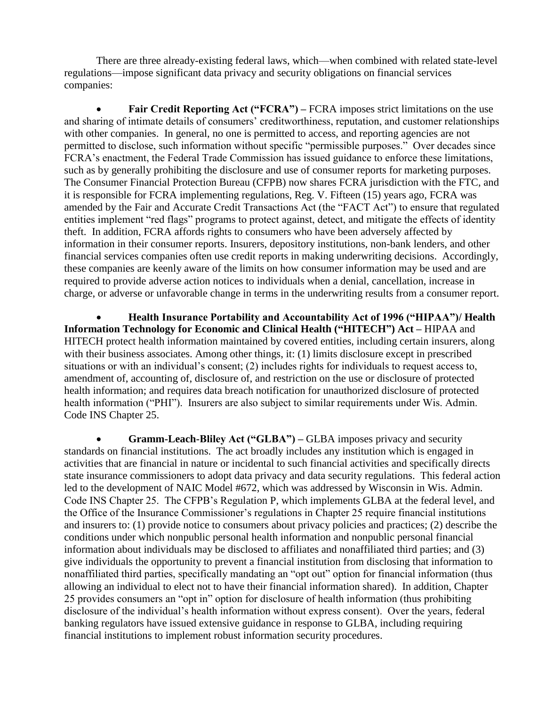There are three already-existing federal laws, which—when combined with related state-level regulations—impose significant data privacy and security obligations on financial services companies:

**Fair Credit Reporting Act ("FCRA")** – FCRA imposes strict limitations on the use and sharing of intimate details of consumers' creditworthiness, reputation, and customer relationships with other companies. In general, no one is permitted to access, and reporting agencies are not permitted to disclose, such information without specific "permissible purposes." Over decades since FCRA's enactment, the Federal Trade Commission has issued guidance to enforce these limitations, such as by generally prohibiting the disclosure and use of consumer reports for marketing purposes. The Consumer Financial Protection Bureau (CFPB) now shares FCRA jurisdiction with the FTC, and it is responsible for FCRA implementing regulations, Reg. V. Fifteen (15) years ago, FCRA was amended by the Fair and Accurate Credit Transactions Act (the "FACT Act") to ensure that regulated entities implement "red flags" programs to protect against, detect, and mitigate the effects of identity theft. In addition, FCRA affords rights to consumers who have been adversely affected by information in their consumer reports. Insurers, depository institutions, non-bank lenders, and other financial services companies often use credit reports in making underwriting decisions. Accordingly, these companies are keenly aware of the limits on how consumer information may be used and are required to provide adverse action notices to individuals when a denial, cancellation, increase in charge, or adverse or unfavorable change in terms in the underwriting results from a consumer report.

 **Health Insurance Portability and Accountability Act of 1996 ("HIPAA")/ Health Information Technology for Economic and Clinical Health ("HITECH") Act –** HIPAA and HITECH protect health information maintained by covered entities, including certain insurers, along with their business associates. Among other things, it: (1) limits disclosure except in prescribed situations or with an individual's consent; (2) includes rights for individuals to request access to, amendment of, accounting of, disclosure of, and restriction on the use or disclosure of protected health information; and requires data breach notification for unauthorized disclosure of protected health information ("PHI"). Insurers are also subject to similar requirements under Wis. Admin. Code INS Chapter 25.

 **Gramm-Leach-Bliley Act ("GLBA") –** GLBA imposes privacy and security standards on financial institutions. The act broadly includes any institution which is engaged in activities that are financial in nature or incidental to such financial activities and specifically directs state insurance commissioners to adopt data privacy and data security regulations. This federal action led to the development of NAIC Model #672, which was addressed by Wisconsin in Wis. Admin. Code INS Chapter 25. The CFPB's Regulation P, which implements GLBA at the federal level, and the Office of the Insurance Commissioner's regulations in Chapter 25 require financial institutions and insurers to: (1) provide notice to consumers about privacy policies and practices; (2) describe the conditions under which nonpublic personal health information and nonpublic personal financial information about individuals may be disclosed to affiliates and nonaffiliated third parties; and (3) give individuals the opportunity to prevent a financial institution from disclosing that information to nonaffiliated third parties, specifically mandating an "opt out" option for financial information (thus allowing an individual to elect not to have their financial information shared). In addition, Chapter 25 provides consumers an "opt in" option for disclosure of health information (thus prohibiting disclosure of the individual's health information without express consent). Over the years, federal banking regulators have issued extensive guidance in response to GLBA, including requiring financial institutions to implement robust information security procedures.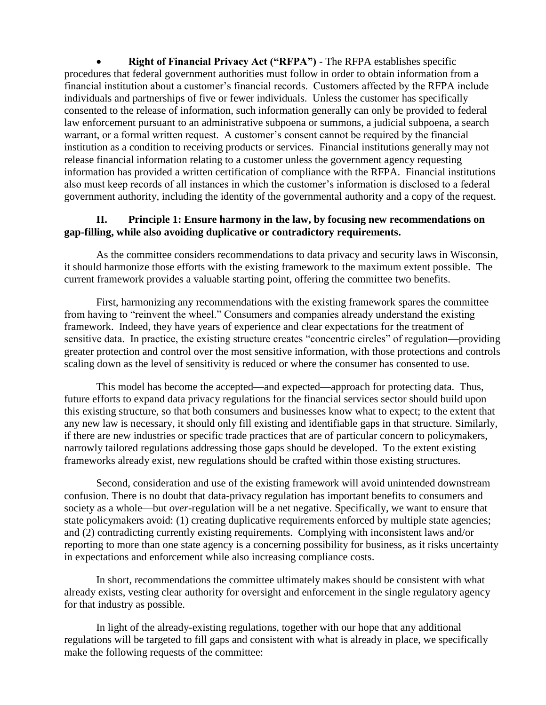**Right of Financial Privacy Act ("RFPA")** - The RFPA establishes specific procedures that federal government authorities must follow in order to obtain information from a financial institution about a customer's financial records. Customers affected by the RFPA include individuals and partnerships of five or fewer individuals. Unless the customer has specifically consented to the release of information, such information generally can only be provided to federal law enforcement pursuant to an administrative subpoena or summons, a judicial subpoena, a search warrant, or a formal written request. A customer's consent cannot be required by the financial institution as a condition to receiving products or services. Financial institutions generally may not release financial information relating to a customer unless the government agency requesting information has provided a written certification of compliance with the RFPA. Financial institutions also must keep records of all instances in which the customer's information is disclosed to a federal government authority, including the identity of the governmental authority and a copy of the request.

## **II. Principle 1: Ensure harmony in the law, by focusing new recommendations on gap-filling, while also avoiding duplicative or contradictory requirements.**

As the committee considers recommendations to data privacy and security laws in Wisconsin, it should harmonize those efforts with the existing framework to the maximum extent possible. The current framework provides a valuable starting point, offering the committee two benefits.

First, harmonizing any recommendations with the existing framework spares the committee from having to "reinvent the wheel." Consumers and companies already understand the existing framework. Indeed, they have years of experience and clear expectations for the treatment of sensitive data. In practice, the existing structure creates "concentric circles" of regulation—providing greater protection and control over the most sensitive information, with those protections and controls scaling down as the level of sensitivity is reduced or where the consumer has consented to use.

This model has become the accepted—and expected—approach for protecting data. Thus, future efforts to expand data privacy regulations for the financial services sector should build upon this existing structure, so that both consumers and businesses know what to expect; to the extent that any new law is necessary, it should only fill existing and identifiable gaps in that structure. Similarly, if there are new industries or specific trade practices that are of particular concern to policymakers, narrowly tailored regulations addressing those gaps should be developed. To the extent existing frameworks already exist, new regulations should be crafted within those existing structures.

Second, consideration and use of the existing framework will avoid unintended downstream confusion. There is no doubt that data-privacy regulation has important benefits to consumers and society as a whole—but *over*-regulation will be a net negative. Specifically, we want to ensure that state policymakers avoid: (1) creating duplicative requirements enforced by multiple state agencies; and (2) contradicting currently existing requirements. Complying with inconsistent laws and/or reporting to more than one state agency is a concerning possibility for business, as it risks uncertainty in expectations and enforcement while also increasing compliance costs.

In short, recommendations the committee ultimately makes should be consistent with what already exists, vesting clear authority for oversight and enforcement in the single regulatory agency for that industry as possible.

In light of the already-existing regulations, together with our hope that any additional regulations will be targeted to fill gaps and consistent with what is already in place, we specifically make the following requests of the committee: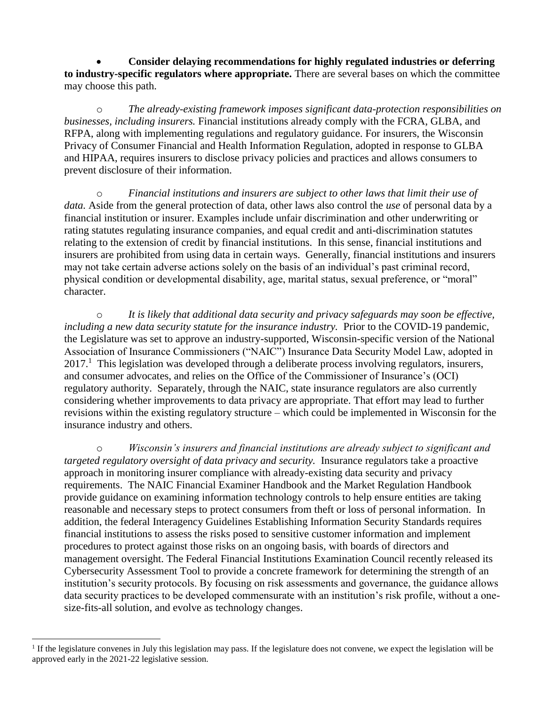**Consider delaying recommendations for highly regulated industries or deferring to industry-specific regulators where appropriate.** There are several bases on which the committee may choose this path.

o *The already-existing framework imposes significant data-protection responsibilities on businesses, including insurers.* Financial institutions already comply with the FCRA, GLBA, and RFPA, along with implementing regulations and regulatory guidance. For insurers, the Wisconsin Privacy of Consumer Financial and Health Information Regulation, adopted in response to GLBA and HIPAA, requires insurers to disclose privacy policies and practices and allows consumers to prevent disclosure of their information.

o *Financial institutions and insurers are subject to other laws that limit their use of data.* Aside from the general protection of data, other laws also control the *use* of personal data by a financial institution or insurer. Examples include unfair discrimination and other underwriting or rating statutes regulating insurance companies, and equal credit and anti-discrimination statutes relating to the extension of credit by financial institutions. In this sense, financial institutions and insurers are prohibited from using data in certain ways. Generally, financial institutions and insurers may not take certain adverse actions solely on the basis of an individual's past criminal record, physical condition or developmental disability, age, marital status, sexual preference, or "moral" character.

o *It is likely that additional data security and privacy safeguards may soon be effective, including a new data security statute for the insurance industry.* Prior to the COVID-19 pandemic, the Legislature was set to approve an industry-supported, Wisconsin-specific version of the National Association of Insurance Commissioners ("NAIC") Insurance Data Security Model Law, adopted in 2017.<sup>1</sup> This legislation was developed through a deliberate process involving regulators, insurers, and consumer advocates, and relies on the Office of the Commissioner of Insurance's (OCI) regulatory authority. Separately, through the NAIC, state insurance regulators are also currently considering whether improvements to data privacy are appropriate. That effort may lead to further revisions within the existing regulatory structure – which could be implemented in Wisconsin for the insurance industry and others.

o *Wisconsin's insurers and financial institutions are already subject to significant and targeted regulatory oversight of data privacy and security.* Insurance regulators take a proactive approach in monitoring insurer compliance with already-existing data security and privacy requirements. The NAIC Financial Examiner Handbook and the Market Regulation Handbook provide guidance on examining information technology controls to help ensure entities are taking reasonable and necessary steps to protect consumers from theft or loss of personal information. In addition, the federal Interagency Guidelines Establishing Information Security Standards requires financial institutions to assess the risks posed to sensitive customer information and implement procedures to protect against those risks on an ongoing basis, with boards of directors and management oversight. The Federal Financial Institutions Examination Council recently released its Cybersecurity Assessment Tool to provide a concrete framework for determining the strength of an institution's security protocols. By focusing on risk assessments and governance, the guidance allows data security practices to be developed commensurate with an institution's risk profile, without a onesize-fits-all solution, and evolve as technology changes.

 $\overline{a}$ 

<sup>&</sup>lt;sup>1</sup> If the legislature convenes in July this legislation may pass. If the legislature does not convene, we expect the legislation will be approved early in the 2021-22 legislative session.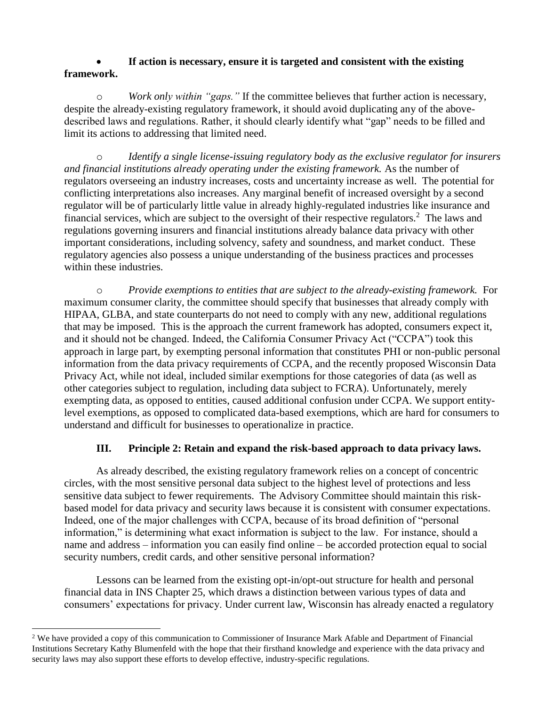### **If action is necessary, ensure it is targeted and consistent with the existing framework.**

o *Work only within "gaps."* If the committee believes that further action is necessary, despite the already-existing regulatory framework, it should avoid duplicating any of the abovedescribed laws and regulations. Rather, it should clearly identify what "gap" needs to be filled and limit its actions to addressing that limited need.

o *Identify a single license-issuing regulatory body as the exclusive regulator for insurers and financial institutions already operating under the existing framework.* As the number of regulators overseeing an industry increases, costs and uncertainty increase as well. The potential for conflicting interpretations also increases. Any marginal benefit of increased oversight by a second regulator will be of particularly little value in already highly-regulated industries like insurance and financial services, which are subject to the oversight of their respective regulators.<sup>2</sup> The laws and regulations governing insurers and financial institutions already balance data privacy with other important considerations, including solvency, safety and soundness, and market conduct. These regulatory agencies also possess a unique understanding of the business practices and processes within these industries.

o *Provide exemptions to entities that are subject to the already-existing framework.* For maximum consumer clarity, the committee should specify that businesses that already comply with HIPAA, GLBA, and state counterparts do not need to comply with any new, additional regulations that may be imposed. This is the approach the current framework has adopted, consumers expect it, and it should not be changed. Indeed, the California Consumer Privacy Act ("CCPA") took this approach in large part, by exempting personal information that constitutes PHI or non-public personal information from the data privacy requirements of CCPA, and the recently proposed Wisconsin Data Privacy Act, while not ideal, included similar exemptions for those categories of data (as well as other categories subject to regulation, including data subject to FCRA). Unfortunately, merely exempting data, as opposed to entities, caused additional confusion under CCPA. We support entitylevel exemptions, as opposed to complicated data-based exemptions, which are hard for consumers to understand and difficult for businesses to operationalize in practice.

# **III. Principle 2: Retain and expand the risk-based approach to data privacy laws.**

As already described, the existing regulatory framework relies on a concept of concentric circles, with the most sensitive personal data subject to the highest level of protections and less sensitive data subject to fewer requirements. The Advisory Committee should maintain this riskbased model for data privacy and security laws because it is consistent with consumer expectations. Indeed, one of the major challenges with CCPA, because of its broad definition of "personal information," is determining what exact information is subject to the law. For instance, should a name and address – information you can easily find online – be accorded protection equal to social security numbers, credit cards, and other sensitive personal information?

Lessons can be learned from the existing opt-in/opt-out structure for health and personal financial data in INS Chapter 25, which draws a distinction between various types of data and consumers' expectations for privacy. Under current law, Wisconsin has already enacted a regulatory

 $\overline{\phantom{a}}$ <sup>2</sup> We have provided a copy of this communication to Commissioner of Insurance Mark Afable and Department of Financial Institutions Secretary Kathy Blumenfeld with the hope that their firsthand knowledge and experience with the data privacy and security laws may also support these efforts to develop effective, industry-specific regulations.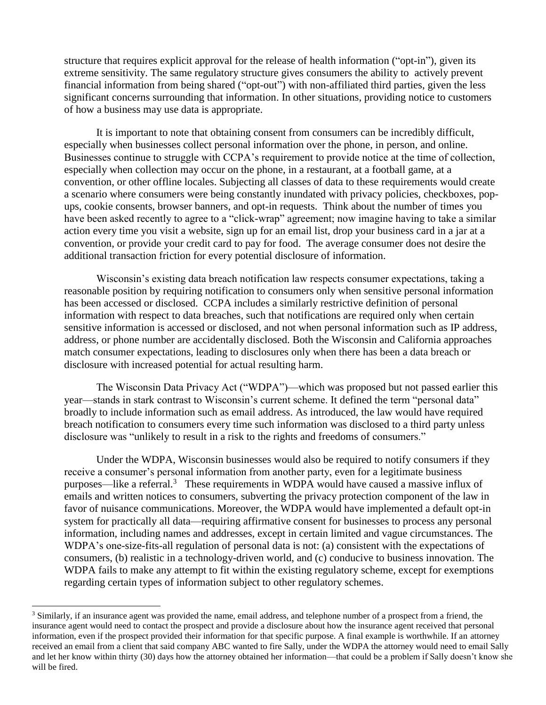structure that requires explicit approval for the release of health information ("opt-in"), given its extreme sensitivity. The same regulatory structure gives consumers the ability to actively prevent financial information from being shared ("opt-out") with non-affiliated third parties, given the less significant concerns surrounding that information. In other situations, providing notice to customers of how a business may use data is appropriate.

It is important to note that obtaining consent from consumers can be incredibly difficult, especially when businesses collect personal information over the phone, in person, and online. Businesses continue to struggle with CCPA's requirement to provide notice at the time of collection, especially when collection may occur on the phone, in a restaurant, at a football game, at a convention, or other offline locales. Subjecting all classes of data to these requirements would create a scenario where consumers were being constantly inundated with privacy policies, checkboxes, popups, cookie consents, browser banners, and opt-in requests. Think about the number of times you have been asked recently to agree to a "click-wrap" agreement; now imagine having to take a similar action every time you visit a website, sign up for an email list, drop your business card in a jar at a convention, or provide your credit card to pay for food. The average consumer does not desire the additional transaction friction for every potential disclosure of information.

Wisconsin's existing data breach notification law respects consumer expectations, taking a reasonable position by requiring notification to consumers only when sensitive personal information has been accessed or disclosed. CCPA includes a similarly restrictive definition of personal information with respect to data breaches, such that notifications are required only when certain sensitive information is accessed or disclosed, and not when personal information such as IP address, address, or phone number are accidentally disclosed. Both the Wisconsin and California approaches match consumer expectations, leading to disclosures only when there has been a data breach or disclosure with increased potential for actual resulting harm.

The Wisconsin Data Privacy Act ("WDPA")—which was proposed but not passed earlier this year—stands in stark contrast to Wisconsin's current scheme. It defined the term "personal data" broadly to include information such as email address. As introduced, the law would have required breach notification to consumers every time such information was disclosed to a third party unless disclosure was "unlikely to result in a risk to the rights and freedoms of consumers."

Under the WDPA, Wisconsin businesses would also be required to notify consumers if they receive a consumer's personal information from another party, even for a legitimate business purposes—like a referral.<sup>3</sup> These requirements in WDPA would have caused a massive influx of emails and written notices to consumers, subverting the privacy protection component of the law in favor of nuisance communications. Moreover, the WDPA would have implemented a default opt-in system for practically all data—requiring affirmative consent for businesses to process any personal information, including names and addresses, except in certain limited and vague circumstances. The WDPA's one-size-fits-all regulation of personal data is not: (a) consistent with the expectations of consumers, (b) realistic in a technology-driven world, and (c) conducive to business innovation. The WDPA fails to make any attempt to fit within the existing regulatory scheme, except for exemptions regarding certain types of information subject to other regulatory schemes.

l

<sup>3</sup> Similarly, if an insurance agent was provided the name, email address, and telephone number of a prospect from a friend, the insurance agent would need to contact the prospect and provide a disclosure about how the insurance agent received that personal information, even if the prospect provided their information for that specific purpose. A final example is worthwhile. If an attorney received an email from a client that said company ABC wanted to fire Sally, under the WDPA the attorney would need to email Sally and let her know within thirty (30) days how the attorney obtained her information—that could be a problem if Sally doesn't know she will be fired.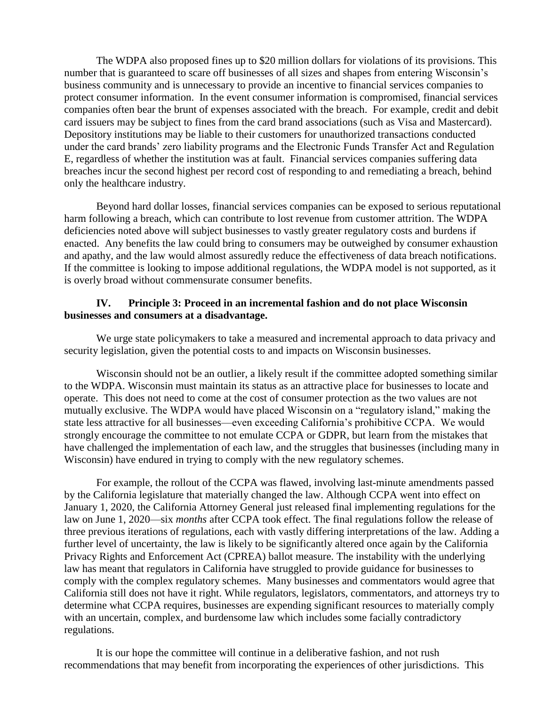The WDPA also proposed fines up to \$20 million dollars for violations of its provisions. This number that is guaranteed to scare off businesses of all sizes and shapes from entering Wisconsin's business community and is unnecessary to provide an incentive to financial services companies to protect consumer information. In the event consumer information is compromised, financial services companies often bear the brunt of expenses associated with the breach. For example, credit and debit card issuers may be subject to fines from the card brand associations (such as Visa and Mastercard). Depository institutions may be liable to their customers for unauthorized transactions conducted under the card brands' zero liability programs and the Electronic Funds Transfer Act and Regulation E, regardless of whether the institution was at fault. Financial services companies suffering data breaches incur the second highest per record cost of responding to and remediating a breach, behind only the healthcare industry.

Beyond hard dollar losses, financial services companies can be exposed to serious reputational harm following a breach, which can contribute to lost revenue from customer attrition. The WDPA deficiencies noted above will subject businesses to vastly greater regulatory costs and burdens if enacted. Any benefits the law could bring to consumers may be outweighed by consumer exhaustion and apathy, and the law would almost assuredly reduce the effectiveness of data breach notifications. If the committee is looking to impose additional regulations, the WDPA model is not supported, as it is overly broad without commensurate consumer benefits.

### **IV. Principle 3: Proceed in an incremental fashion and do not place Wisconsin businesses and consumers at a disadvantage.**

We urge state policymakers to take a measured and incremental approach to data privacy and security legislation, given the potential costs to and impacts on Wisconsin businesses.

Wisconsin should not be an outlier, a likely result if the committee adopted something similar to the WDPA. Wisconsin must maintain its status as an attractive place for businesses to locate and operate. This does not need to come at the cost of consumer protection as the two values are not mutually exclusive. The WDPA would have placed Wisconsin on a "regulatory island," making the state less attractive for all businesses—even exceeding California's prohibitive CCPA. We would strongly encourage the committee to not emulate CCPA or GDPR, but learn from the mistakes that have challenged the implementation of each law, and the struggles that businesses (including many in Wisconsin) have endured in trying to comply with the new regulatory schemes.

For example, the rollout of the CCPA was flawed, involving last-minute amendments passed by the California legislature that materially changed the law. Although CCPA went into effect on January 1, 2020, the California Attorney General just released final implementing regulations for the law on June 1, 2020—six *months* after CCPA took effect. The final regulations follow the release of three previous iterations of regulations, each with vastly differing interpretations of the law. Adding a further level of uncertainty, the law is likely to be significantly altered once again by the California Privacy Rights and Enforcement Act (CPREA) ballot measure. The instability with the underlying law has meant that regulators in California have struggled to provide guidance for businesses to comply with the complex regulatory schemes. Many businesses and commentators would agree that California still does not have it right. While regulators, legislators, commentators, and attorneys try to determine what CCPA requires, businesses are expending significant resources to materially comply with an uncertain, complex, and burdensome law which includes some facially contradictory regulations.

It is our hope the committee will continue in a deliberative fashion, and not rush recommendations that may benefit from incorporating the experiences of other jurisdictions. This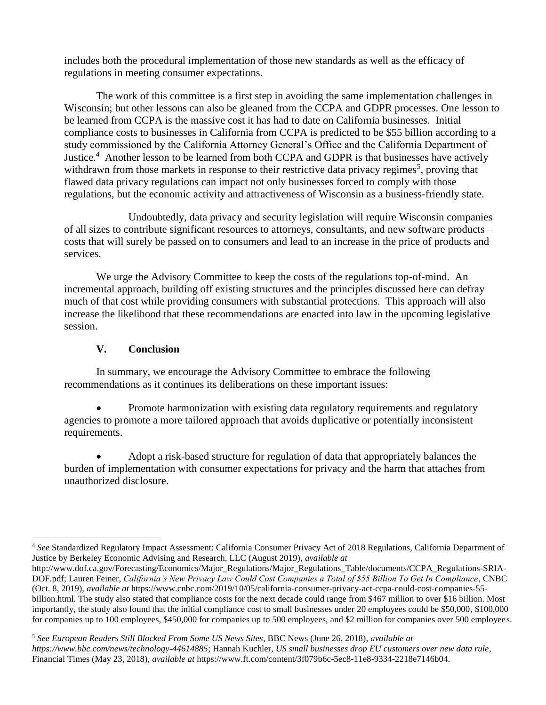includes both the procedural implementation of those new standards as well as the efficacy of regulations in meeting consumer expectations.

The work of this committee is a first step in avoiding the same implementation challenges in Wisconsin; but other lessons can also be gleaned from the CCPA and GDPR processes. One lesson to be learned from CCPA is the massive cost it has had to date on California businesses. Initial compliance costs to businesses in California from CCPA is predicted to be \$55 billion according to a study commissioned by the California Attorney General's Office and the California Department of Justice.<sup>4</sup> Another lesson to be learned from both CCPA and GDPR is that businesses have actively withdrawn from those markets in response to their restrictive data privacy regimes<sup>5</sup>, proving that flawed data privacy regulations can impact not only businesses forced to comply with those regulations, but the economic activity and attractiveness of Wisconsin as a business-friendly state.

Undoubtedly, data privacy and security legislation will require Wisconsin companies of all sizes to contribute significant resources to attorneys, consultants, and new software products – costs that will surely be passed on to consumers and lead to an increase in the price of products and services.

We urge the Advisory Committee to keep the costs of the regulations top-of-mind. An incremental approach, building off existing structures and the principles discussed here can defray much of that cost while providing consumers with substantial protections. This approach will also increase the likelihood that these recommendations are enacted into law in the upcoming legislative session.

## **V. Conclusion**

In summary, we encourage the Advisory Committee to embrace the following recommendations as it continues its deliberations on these important issues:

 Promote harmonization with existing data regulatory requirements and regulatory agencies to promote a more tailored approach that avoids duplicative or potentially inconsistent requirements.

 Adopt a risk-based structure for regulation of data that appropriately balances the burden of implementation with consumer expectations for privacy and the harm that attaches from unauthorized disclosure.

<sup>5</sup> *See European Readers Still Blocked From Some US News Sites*, BBC News (June 26, 2018), *available at https://www.bbc.com/news/technology-44614885*; Hannah Kuchler, *US small businesses drop EU customers over new data rule*, Financial Times (May 23, 2018), *available at* https://www.ft.com/content/3f079b6c-5ec8-11e8-9334-2218e7146b04.

 $\overline{\phantom{a}}$ <sup>4</sup> *See* Standardized Regulatory Impact Assessment: California Consumer Privacy Act of 2018 Regulations, California Department of Justice by Berkeley Economic Advising and Research, LLC (August 2019), *available at* 

http://www.dof.ca.gov/Forecasting/Economics/Major\_Regulations/Major\_Regulations\_Table/documents/CCPA\_Regulations-SRIA-DOF.pdf; Lauren Feiner, *California's New Privacy Law Could Cost Companies a Total of \$55 Billion To Get In Compliance*, CNBC (Oct. 8, 2019), *available at* https://www.cnbc.com/2019/10/05/california-consumer-privacy-act-ccpa-could-cost-companies-55 billion.html. The study also stated that compliance costs for the next decade could range from \$467 million to over \$16 billion. Most importantly, the study also found that the initial compliance cost to small businesses under 20 employees could be \$50,000, \$100,000 for companies up to 100 employees, \$450,000 for companies up to 500 employees, and \$2 million for companies over 500 employees.